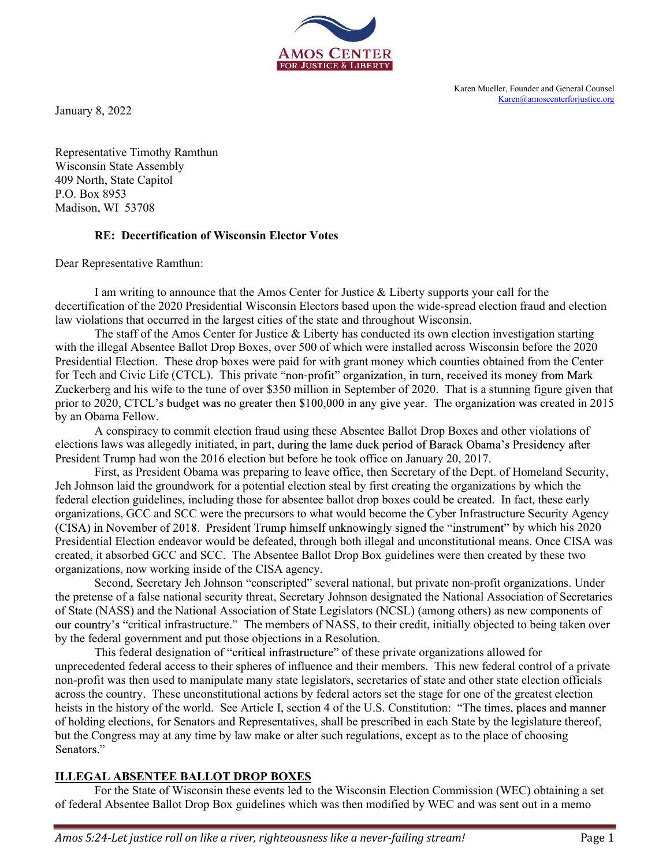

Karen Mueller, Founder and General Counsel Karen@amoscenterforjustice.org

January 8, 2022

Representative Timothy Ramthun Wisconsin State Assembly 409 North, State Capitol P.O. Box 8953 Madison, WI 53708

# RE: Decertification of Wisconsin Elector Votes

Dear Representative Ramthun:

**INTERNATION CONSTRANT SET AMOUS CENTER**<br> **EXERCISE TO A MOS CENTER**<br> **EXERCISE TO A SUPPOSE TO A SUPPOSE THE AMOVE CONSTRANT SUPPOSE TO A SUPPOSE THE AMONG CONSTRANT AND STORE ARE CAPTED IN SURFACE CAPTED TO A SUPPORT SUP** 

**EXECT ANOTE CONTERT ANOTE CONTERT CONTENT AND CONTENT AND CONTENT AND CONTENT AND CONTENT AND CONTENT AND CONTENT AND CONTENT AND CONTENT AND CONTENT AND CONTENT AND CONTENT AND A PO. BOX 8953<br>
PART REPRESENTATION OF WISC AMOS CENTER**<br> **EXECUTE THE CONSIGN CONSIGN CONSIGN CONSIGN CONSIGN CONSIGN CONSIGN CONSIGN CONSIGN CONSIGN CONSIGNATION**<br> **Representative Timothy Ramthun**<br> **Representative Finnolly Ramthun**<br> **PAD North, State Capitol**<br> **P** The staff of the Amos Center for Justice  $\&$  Liberty has conducted its own election investigation starting with the illegal Absentee Ballot Drop Boxes, over 500 of which were installed across Wisconsin before the 2020 Free The State Consect and Counties (Sandam Martin Counted Election Finder and Counted Election. Suppression of Wisconsin Elector Votes<br>
Presentative Capitol<br>
Presentative Ramultum:<br>
Presentative Ramultum:<br>
The superceptat For Tech and Civic Life (CTCL). This private 'non-profit or expected Ballot Drep Boxes and Suckerberg and Suckerberg and Suckerberg and Americans Content Content Civic Life (CTCL). This private in The stuaring to the tune prior to 2020, CTCL's budget was no greater then \$100,000 in any give year. The organization was created in 2015 by an Obama Fellow. minimation Than that in State Commit (First) and the Amos Center for Justice & Liberty supports your call for the Amos NS93<br>
A RP. Decertification of Wisconsin Elector Votes<br>
Presentative Ramthum:<br>
1 am writing to amounce Wisconsin State Assembly<br>
Wisconsin Elector Votes<br>
409 North, State Caspitol<br>
P.O. Box 8953<br>
Ref. Decertification of Wisconsin Elector Votes<br>
Dear Representative Ramthun:<br>
I am writing to amounce that the Amos Center for J 409 North, State Capitol<br>
P.O. Box 8953<br>
RE: Decertification of Wisconsin Elector Votes<br>
RE: The contrigue of the 2020 Presidential Wisconsin Flector Votes<br>
decertification of the 2020 Presidential Wisconsin Flectors has d

First, as President Obama was preparing to leave office, then Secretary of the Dept. of Homeland Security, Jeh Johnson laid the groundwork for a potential election steal by first creating the organizations by which the **RE:** Decertification of Wisconsin Elector Votes<br>
Dear Representative Ramlum:<br>
I am writing to amounce that the Amos Center for Justice & Liberty supports your call for the<br>
decertification of the 2020 Presidential Wiscons organizations, GCC and SCC were the precursors to what would become the Cyber Infrastructure Security Agency for the<br>
in fraud and election<br>
stigation starting<br>
in before the 2020<br>
ed from the Center<br>
ioney from Mark<br>
ing figure given that<br>
it was created in 2015<br>
her violations of<br>
Presidency after<br>
Homeland Security,<br>
s by whic Dear Representative Ramthun:<br>
I am writing to amounte that the Amos Center for Justice & Liberty supports your call for the<br>decertification of the democration Haw violations fat accurred in the largest cities of the state created, it absorbed GCC and SCC. The Absentee Ballot Drop Box guidelines were then created by these two I am writing to anonone ehat the Amos Center for Justice & Liberty supports your call for the<br>decertification of the 2020 Presidential Wisconsin Illectors based upon the wide-spread election fraud and election<br>law violatio cation of the 2020 Presidential Wisconsin Electors based upon the wide-spread election fraud and election<br>The staff of the Amos Center for Justice of the state and throughout Wisconsin.<br>The staff of the Amos Center for Jus Its wisingliants hat occurred in the largest cities of the state and throughout Wissonsin. The stat of the Amendevictor of the state and throughout Wissonsin before the 2020 with the illegal Absentee Ballot Drop Boxes, ove and Civic Life (CITC). This private "non-profit" organization, in turn, received its money from Mark<br>erg and his wife to the ture of over \$3.50 million in September of 2020. That is a stunning figure given that<br>exact and F Zuckrebrg and his wife to the tune of over \$350 million in Septenber of 2020. That is a stunning figure given<br>Yunce to 2020, CTCL's budget was no greater then \$100,000 in any give year. The organization was versated in 201

of State (NASS) and the National Association of State Legislators (NCSL) (among others) as new components of our country's "critical infrastructure." The members of NASS, to their credit, initially objected to being taken over by the federal government and put those objections in a Resolution.

non-profit was then used to manipulate many state legislators, secretaries of state and other state election officials by an Obama Fellow and the colonic fraud using these Absentee Ballot Drop Boxes and other violations of elections laws was allegedly initiated, in part, during the lane duck period of Barack Obama's President Trump has wor A conspiracy to commit election fraud using these Absentee Ballot Drop Boose and other violations of<br>elections laws was allegedly initiated, in part, during the lame duck period of Banca See Article Tress, as President Tra of holding elections, for Senators and Representatives, shall be prescribed in each State by the legislature thereof, but the Congress may at any time by law make or alter such regulations, except as to the place of choosing ations, GCC and SCC were the precursors to what would become the Cyber Infrastructure Security Agency<br>
in November of 2018. President Trump himself unknowingly signed the "instrument" by which his 2020<br>
fia shortoch GCC an (CISA) in November of 2018. President Trump himself unknowingly signed the "instrument" by which his 2020<br>
CFSA) in Nowmber of 2018. A readed, through both illegal and unconstitutional means. Once CISA was<br>created, it abs

# ILLEGAL ABSENTEE BALLOT DROP BOXES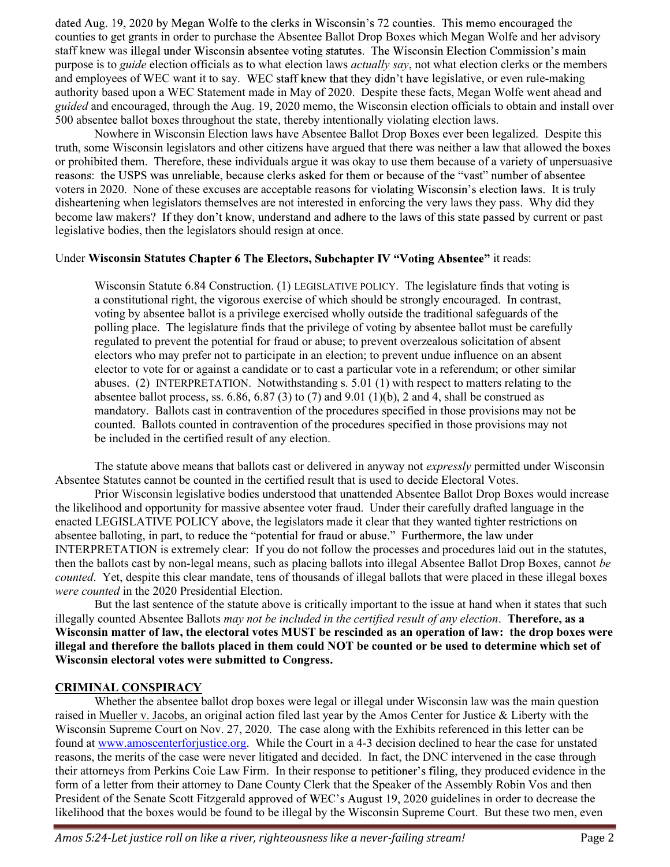dated Aug. 19, 2020 by Megan Wolfe to the clerks in Wisconsin's 72 counties. This memo encouraged the dated Aug. 19, 2020 by Megan Wolfe to the clerks in Wisconsin's 72 counties. This memo encouraged the<br>counties to get grants in order to purchase the Absentee Ballot Drop Boxes which Megan Wolfe and her advisory<br>staff knew staff knew was illegal under Wisconsin absentee voting statutes. The Wisconsin Election Commission's main purpose is to *guide* election officials as to what election laws *actually say*, not what election clerks or the members and employees of WEC want it to say. WEC staff knew that they didn't have legislative, or even rule-making authority based upon a WEC Statement made in May of 2020. Despite these facts, Megan Wolfe went ahead and guided and encouraged, through the Aug. 19, 2020 memo, the Wisconsin election officials to obtain and install over 500 absentee ballot boxes throughout the state, thereby intentionally violating election laws.

Nowhere in Wisconsin Election laws have Absentee Ballot Drop Boxes ever been legalized. Despite this truth, some Wisconsin legislators and other citizens have argued that there was neither a law that allowed the boxes or prohibited them. Therefore, these individuals argue it was okay to use them because of a variety of unpersuasive reasons: the USPS was unreliable, because clerks asked for them or because of the "vast" number of absentee voters in 2020. None of these excuses are acceptable reasons for violating Wisconsin's election laws. It is truly disheartening when legislators themselves are not interested in enforcing the very laws they pass. Why did they become law makers? If they don't know, understand and adhere to the laws of this state passed by current or past legislative bodies, then the legislators should resign at once.

#### Under Wisconsin Statutes Chapter 6 The Electors, Subchapter IV "Voting Absentee" it reads:

Wisconsin Statute 6.84 Construction. (1) LEGISLATIVE POLICY. The legislature finds that voting is a constitutional right, the vigorous exercise of which should be strongly encouraged. In contrast, voting by absentee ballot is a privilege exercised wholly outside the traditional safeguards of the polling place. The legislature finds that the privilege of voting by absentee ballot must be carefully regulated to prevent the potential for fraud or abuse; to prevent overzealous solicitation of absent electors who may prefer not to participate in an election; to prevent undue influence on an absent elector to vote for or against a candidate or to cast a particular vote in a referendum; or other similar abuses. (2) INTERPRETATION. Notwithstanding s. 5.01 (1) with respect to matters relating to the absentee ballot process, ss.  $6.86$ ,  $6.87$  (3) to (7) and  $9.01$  (1)(b), 2 and 4, shall be construed as mandatory. Ballots cast in contravention of the procedures specified in those provisions may not be counted. Ballots counted in contravention of the procedures specified in those provisions may not be included in the certified result of any election.

The statute above means that ballots cast or delivered in anyway not *expressly* permitted under Wisconsin Absentee Statutes cannot be counted in the certified result that is used to decide Electoral Votes.

Prior Wisconsin legislative bodies understood that unattended Absentee Ballot Drop Boxes would increase the likelihood and opportunity for massive absentee voter fraud. Under their carefully drafted language in the enacted LEGISLATIVE POLICY above, the legislators made it clear that they wanted tighter restrictions on absentee balloting, in part, to reduce the "potential for fraud or abuse." Furthermore, the law under INTERPRETATION is extremely clear: If you do not follow the processes and procedures laid out in the statutes, then the ballots cast by non-legal means, such as placing ballots into illegal Absentee Ballot Drop Boxes, cannot be counted. Yet, despite this clear mandate, tens of thousands of illegal ballots that were placed in these illegal boxes were counted in the 2020 Presidential Election.

But the last sentence of the statute above is critically important to the issue at hand when it states that such illegally counted Absentee Ballots may not be included in the certified result of any election. **Therefore, as a** Wisconsin matter of law, the electoral votes MUST be rescinded as an operation of law: the drop boxes were illegal and therefore the ballots placed in them could NOT be counted or be used to determine which set of Wisconsin electoral votes were submitted to Congress.

# CRIMINAL CONSPIRACY

Whether the absentee ballot drop boxes were legal or illegal under Wisconsin law was the main question raised in Mueller v. Jacobs, an original action filed last year by the Amos Center for Justice & Liberty with the Wisconsin Supreme Court on Nov. 27, 2020. The case along with the Exhibits referenced in this letter can be found at www.amoscenterforjustice.org. While the Court in a 4-3 decision declined to hear the case for unstated reasons, the merits of the case were never litigated and decided. In fact, the DNC intervened in the case through their attorneys from Perkins Coie Law Firm. In their response to petitioner's filing, they produced evidence in the form of a letter from their attorney to Dane County Clerk that the Speaker of the Assembly Robin Vos and then President of the Senate Scott Fitzgerald approved of WEC's August 19, 2020 guidelines in order to decrease the likelihood that the boxes would be found to be illegal by the Wisconsin Supreme Court. But these two men, even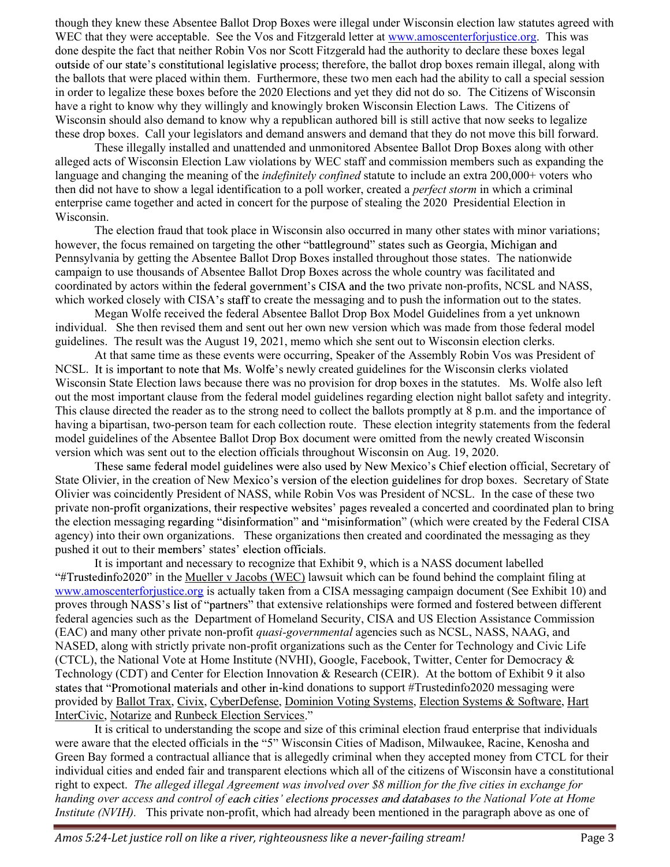though they knew these Absentee Ballot Drop Boxes were illegal under Wisconsin election law statutes agreed with though they knew these Absentee Ballot Drop Boxes were illegal under Wisconsin election law statutes agreed with WEC that they were acceptable. See the Vos and Fitzgerald letter at <u>www.amoscenterforjustice.org</u>. This was done despite the fact that neither Robin Vos nor Scott Fitzgerald had the authority to declare these boxes legal ere illegal under Wisconsin election law statutes agreed with<br>erald letter at <u>www.amoscenterforjustice.org</u>. This was<br>itzgerald had the authority to declare these boxes legal<br>therefore, the ballot drop boxes remain illega the ballots that were placed within them. Furthermore, these two men each had the ability to call a special session in order to legalize these boxes before the 2020 Elections and yet they did not do so. The Citizens of Wisconsin have a right to know why they willingly and knowingly broken Wisconsin Election Laws. The Citizens of Wisconsin should also demand to know why a republican authored bill is still active that now seeks to legalize these drop boxes. Call your legislators and demand answers and demand that they do not move this bill forward.

These illegally installed and unattended and unmonitored Absentee Ballot Drop Boxes along with other alleged acts of Wisconsin Election Law violations by WEC staff and commission members such as expanding the language and changing the meaning of the *indefinitely confined* statute to include an extra 200,000+ voters who then did not have to show a legal identification to a poll worker, created a perfect storm in which a criminal enterprise came together and acted in concert for the purpose of stealing the 2020 Presidential Election in Wisconsin.

The election fraud that took place in Wisconsin also occurred in many other states with minor variations; however, the focus remained on targeting the other "battleground" states such as Georgia, Michigan and Pennsylvania by getting the Absentee Ballot Drop Boxes installed throughout those states. The nationwide campaign to use thousands of Absentee Ballot Drop Boxes across the whole country was facilitated and coordinated by actors within the federal government's CISA and the two private non-profits, NCSL and NASS, which worked closely with CISA's staff to create the messaging and to push the information out to the states.

Megan Wolfe received the federal Absentee Ballot Drop Box Model Guidelines from a yet unknown individual. She then revised them and sent out her own new version which was made from those federal model guidelines. The result was the August 19, 2021, memo which she sent out to Wisconsin election clerks.

At that same time as these events were occurring, Speaker of the Assembly Robin Vos was President of NCSL. It is important to note that Ms. Wolfe's newly created guidelines for the Wisconsin clerks violated Wisconsin State Election laws because there was no provision for drop boxes in the statutes. Ms. Wolfe also left out the most important clause from the federal model guidelines regarding election night ballot safety and integrity. This clause directed the reader as to the strong need to collect the ballots promptly at 8 p.m. and the importance of having a bipartisan, two-person team for each collection route. These election integrity statements from the federal model guidelines of the Absentee Ballot Drop Box document were omitted from the newly created Wisconsin version which was sent out to the election officials throughout Wisconsin on Aug. 19, 2020.

These same federal model guidelines were also used by New Mexico's Chief election official, Secretary of State Olivier, in the creation of New Mexico's version of the election guidelines for drop boxes. Secretary of State Olivier was coincidently President of NASS, while Robin Vos was President of NCSL. In the case of these two private non-profit organizations, their respective websites' pages revealed a concerted and coordinated plan to bring the election messaging regarding "disinformation" and "misinformation" (which were created by the Federal CISA agency) into their own organizations. These organizations then created and coordinated the messaging as they pushed it out to their members' states' election officials.<br>It is important and necessary to recognize that Exhibit 9, which is a NASS document labelled

" $\#$ Trustedinfo2020" in the Mueller v Jacobs (WEC) lawsuit which can be found behind the complaint filing at www.amoscenterforjustice.org is actually taken from a CISA messaging campaign document (See Exhibit 10) and proves through NASS's list of "partners" that extensive relationships were formed and fostered between different federal agencies such as the Department of Homeland Security, CISA and US Election Assistance Commission (EAC) and many other private non-profit quasi-governmental agencies such as NCSL, NASS, NAAG, and NASED, along with strictly private non-profit organizations such as the Center for Technology and Civic Life (CTCL), the National Vote at Home Institute (NVHI), Google, Facebook, Twitter, Center for Democracy & Technology (CDT) and Center for Election Innovation & Research (CEIR). At the bottom of Exhibit 9 it also states that "Promotional materials and other in-kind donations to support #Trustedinfo2020 messaging were provided by Ballot Trax, Civix, CyberDefense, Dominion Voting Systems, Election Systems & Software, Hart InterCivic, Notarize and Runbeck Election Services."

It is critical to understanding the scope and size of this criminal election fraud enterprise that individuals were aware that the elected officials in the "5" Wisconsin Cities of Madison, Milwaukee, Racine, Kenosha and Green Bay formed a contractual alliance that is allegedly criminal when they accepted money from CTCL for their individual cities and ended fair and transparent elections which all of the citizens of Wisconsin have a constitutional right to expect. The alleged illegal Agreement was involved over \$8 million for the five cities in exchange for handing over access and control of each cities' elections processes and databases to the National Vote at Home Institute (NVIH). This private non-profit, which had already been mentioned in the paragraph above as one of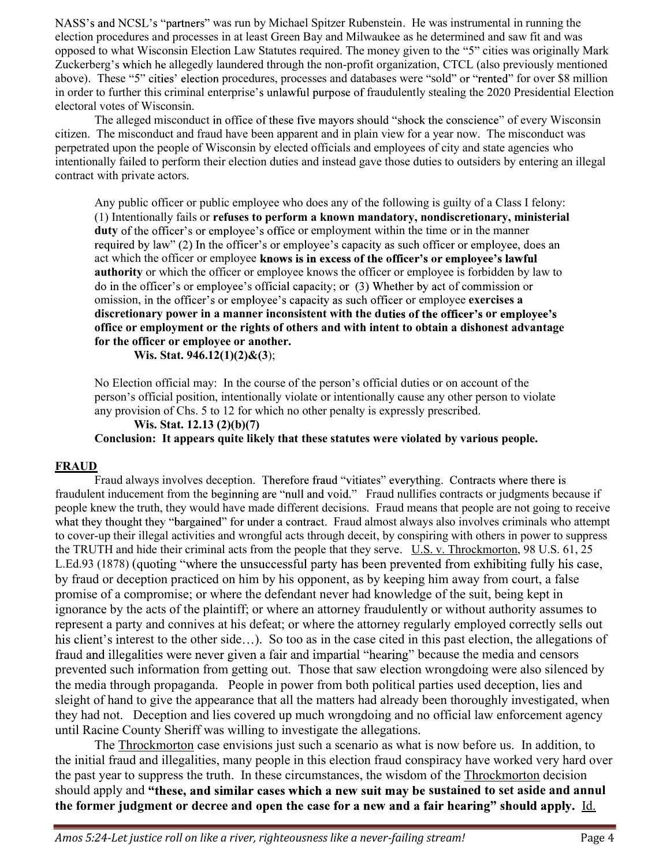NASS's and NCSL's "partners" was run by Michael Spitzer Rubenstein. He was instrumental in running the NASS's and NCSL's "partners" was run by Michael Spitzer Rubenstein. He was instrumental in running the election procedures and processes in at least Green Bay and Milwaukee as he determined and saw fit and was opposed to w opposed to what Wisconsin Election Law Statutes required. The money given to the "5" cities was originally Mark NASS's and NCSL's "partners" was run by Michael Spitzer Rubenstein. He was instrumental in running the election procedures and processes in at least Green Bay and Milwaukee as he determined and saw fit and was opposed to w above). These "5" cities' election procedures, processes and databases were "sold" or "rented" for over \$8 million in order to further this criminal enterprise's unlawful purpose of fraudulently stealing the 2020 Presidential Election electoral votes of Wisconsin.

The alleged misconduct in office of these five mayors should "shock the conscience" of every Wisconsin citizen. The misconduct and fraud have been apparent and in plain view for a year now. The misconduct was perpetrated upon the people of Wisconsin by elected officials and employees of city and state agencies who intentionally failed to perform their election duties and instead gave those duties to outsiders by entering an illegal contract with private actors.

Any public officer or public employee who does any of the following is guilty of a Class I felony: (1) Intentionally fails or refuses to perform a known mandatory, nondiscretionary, ministerial duty of the officer's or employee's office or employment within the time or in the manner required by law" (2) In the officer's or employee's capacity as such officer or employee, does an act which the officer or employee knows is in excess of the officer's or employee's lawful authority or which the officer or employee knows the officer or employee is forbidden by law to do in the officer's or employee's official capacity; or (3) Whether by act of commission or omission, in the officer's or employee's capacity as such officer or employee exercises a discretionary power in a manner inconsistent with the duties of the officer's or employee's office or employment or the rights of others and with intent to obtain a dishonest advantage for the officer or employee or another.

Wis. Stat. 946.12(1)(2)&(3);

No Election official may: In the course of the person's official duties or on account of the person s official position, intentionally violate or intentionally cause any other person to violate any provision of Chs. 5 to 12 for which no other penalty is expressly prescribed.

Wis. Stat. 12.13 (2)(b)(7) Conclusion: It appears quite likely that these statutes were violated by various people.

#### FRAUD

Fraud always involves deception. Therefore fraud "vitiates" everything. Contracts where there is fraudulent inducement from the beginning are "null and void." Fraud nullifies contracts or judgments because if people knew the truth, they would have made different decisions. Fraud means that people are not going to receive what they thought they "bargained" for under a contract. Fraud almost always also involves criminals who attempt to cover-up their illegal activities and wrongful acts through deceit, by conspiring with others in power to suppress the TRUTH and hide their criminal acts from the people that they serve. U.S. v. Throckmorton, 98 U.S. 61, 25 L.Ed.93 (1878) (quoting "where the unsuccessful party has been prevented from exhibiting fully his case, by fraud or deception practiced on him by his opponent, as by keeping him away from court, a false promise of a compromise; or where the defendant never had knowledge of the suit, being kept in ignorance by the acts of the plaintiff; or where an attorney fraudulently or without authority assumes to represent a party and connives at his defeat; or where the attorney regularly employed correctly sells out his client's interest to the other side...). So too as in the case cited in this past election, the allegations of fraud and illegalities were never given a fair and impartial "hearing" because the media and censors prevented such information from getting out. Those that saw election wrongdoing were also silenced by the media through propaganda. People in power from both political parties used deception, lies and sleight of hand to give the appearance that all the matters had already been thoroughly investigated, when they had not. Deception and lies covered up much wrongdoing and no official law enforcement agency until Racine County Sheriff was willing to investigate the allegations.

The Throckmorton case envisions just such a scenario as what is now before us. In addition, to the initial fraud and illegalities, many people in this election fraud conspiracy have worked very hard over the past year to suppress the truth. In these circumstances, the wisdom of the Throckmorton decision should apply and "these, and similar cases which a new suit may be sustained to set aside and annul the former judgment or decree and open the case for a new and a fair hearing" should apply. Id.